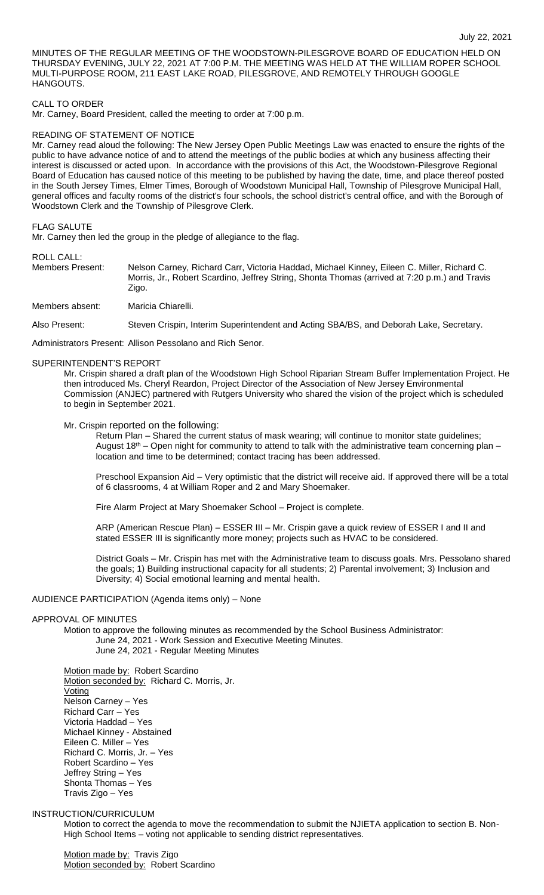MINUTES OF THE REGULAR MEETING OF THE WOODSTOWN-PILESGROVE BOARD OF EDUCATION HELD ON THURSDAY EVENING, JULY 22, 2021 AT 7:00 P.M. THE MEETING WAS HELD AT THE WILLIAM ROPER SCHOOL MULTI-PURPOSE ROOM, 211 EAST LAKE ROAD, PILESGROVE, AND REMOTELY THROUGH GOOGLE HANGOUTS.

# CALL TO ORDER

Mr. Carney, Board President, called the meeting to order at 7:00 p.m.

### READING OF STATEMENT OF NOTICE

Mr. Carney read aloud the following: The New Jersey Open Public Meetings Law was enacted to ensure the rights of the public to have advance notice of and to attend the meetings of the public bodies at which any business affecting their interest is discussed or acted upon. In accordance with the provisions of this Act, the Woodstown-Pilesgrove Regional Board of Education has caused notice of this meeting to be published by having the date, time, and place thereof posted in the South Jersey Times, Elmer Times, Borough of Woodstown Municipal Hall, Township of Pilesgrove Municipal Hall, general offices and faculty rooms of the district's four schools, the school district's central office, and with the Borough of Woodstown Clerk and the Township of Pilesgrove Clerk.

### FLAG SALUTE

Mr. Carney then led the group in the pledge of allegiance to the flag.

# ROLL CALL:

Members Present: Nelson Carney, Richard Carr, Victoria Haddad, Michael Kinney, Eileen C. Miller, Richard C. Morris, Jr., Robert Scardino, Jeffrey String, Shonta Thomas (arrived at 7:20 p.m.) and Travis Zigo.

Members absent: Maricia Chiarelli.

Also Present: Steven Crispin, Interim Superintendent and Acting SBA/BS, and Deborah Lake, Secretary.

Administrators Present: Allison Pessolano and Rich Senor.

### SUPERINTENDENT'S REPORT

Mr. Crispin shared a draft plan of the Woodstown High School Riparian Stream Buffer Implementation Project. He then introduced Ms. Cheryl Reardon, Project Director of the Association of New Jersey Environmental Commission (ANJEC) partnered with Rutgers University who shared the vision of the project which is scheduled to begin in September 2021.

Mr. Crispin reported on the following:

Return Plan – Shared the current status of mask wearing; will continue to monitor state guidelines; August 18th – Open night for community to attend to talk with the administrative team concerning plan – location and time to be determined; contact tracing has been addressed.

Preschool Expansion Aid – Very optimistic that the district will receive aid. If approved there will be a total of 6 classrooms, 4 at William Roper and 2 and Mary Shoemaker.

Fire Alarm Project at Mary Shoemaker School – Project is complete.

ARP (American Rescue Plan) – ESSER III – Mr. Crispin gave a quick review of ESSER I and II and stated ESSER III is significantly more money; projects such as HVAC to be considered.

District Goals – Mr. Crispin has met with the Administrative team to discuss goals. Mrs. Pessolano shared the goals; 1) Building instructional capacity for all students; 2) Parental involvement; 3) Inclusion and Diversity; 4) Social emotional learning and mental health.

# AUDIENCE PARTICIPATION (Agenda items only) – None

### APPROVAL OF MINUTES

Motion to approve the following minutes as recommended by the School Business Administrator: June 24, 2021 - Work Session and Executive Meeting Minutes. June 24, 2021 - Regular Meeting Minutes

Motion made by: Robert Scardino Motion seconded by: Richard C. Morris, Jr. Voting Nelson Carney – Yes Richard Carr – Yes Victoria Haddad – Yes Michael Kinney - Abstained Eileen C. Miller – Yes Richard C. Morris, Jr. – Yes Robert Scardino – Yes Jeffrey String – Yes Shonta Thomas – Yes Travis Zigo – Yes

# INSTRUCTION/CURRICULUM

Motion to correct the agenda to move the recommendation to submit the NJIETA application to section B. Non-High School Items – voting not applicable to sending district representatives.

Motion made by: Travis Zigo Motion seconded by: Robert Scardino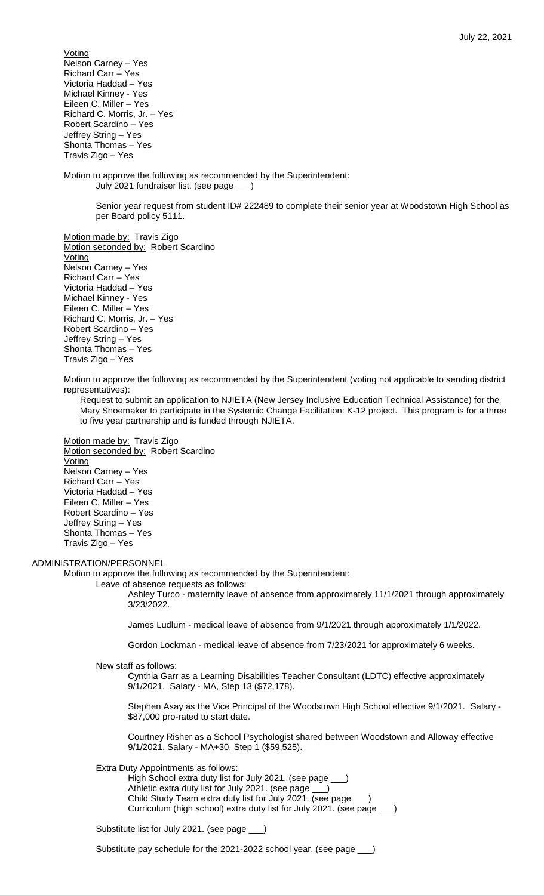**Voting** Nelson Carney – Yes Richard Carr – Yes Victoria Haddad – Yes Michael Kinney - Yes Eileen C. Miller – Yes Richard C. Morris, Jr. – Yes Robert Scardino – Yes Jeffrey String – Yes Shonta Thomas – Yes Travis Zigo – Yes

Motion to approve the following as recommended by the Superintendent: July 2021 fundraiser list. (see page \_\_\_)

> Senior year request from student ID# 222489 to complete their senior year at Woodstown High School as per Board policy 5111.

Motion made by: Travis Zigo Motion seconded by: Robert Scardino Voting Nelson Carney – Yes Richard Carr – Yes Victoria Haddad – Yes Michael Kinney - Yes Eileen C. Miller – Yes Richard C. Morris, Jr. – Yes Robert Scardino – Yes Jeffrey String – Yes Shonta Thomas – Yes Travis Zigo – Yes

Motion to approve the following as recommended by the Superintendent (voting not applicable to sending district representatives):

Request to submit an application to NJIETA (New Jersey Inclusive Education Technical Assistance) for the Mary Shoemaker to participate in the Systemic Change Facilitation: K-12 project. This program is for a three to five year partnership and is funded through NJIETA.

Motion made by: Travis Zigo Motion seconded by: Robert Scardino Voting Nelson Carney – Yes Richard Carr – Yes Victoria Haddad – Yes Eileen C. Miller – Yes Robert Scardino – Yes Jeffrey String – Yes Shonta Thomas – Yes Travis Zigo – Yes

### ADMINISTRATION/PERSONNEL

Motion to approve the following as recommended by the Superintendent:

Leave of absence requests as follows:

Ashley Turco - maternity leave of absence from approximately 11/1/2021 through approximately 3/23/2022.

James Ludlum - medical leave of absence from 9/1/2021 through approximately 1/1/2022.

Gordon Lockman - medical leave of absence from 7/23/2021 for approximately 6 weeks.

New staff as follows:

Cynthia Garr as a Learning Disabilities Teacher Consultant (LDTC) effective approximately 9/1/2021. Salary - MA, Step 13 (\$72,178).

Stephen Asay as the Vice Principal of the Woodstown High School effective 9/1/2021. Salary - \$87,000 pro-rated to start date.

Courtney Risher as a School Psychologist shared between Woodstown and Alloway effective 9/1/2021. Salary - MA+30, Step 1 (\$59,525).

Extra Duty Appointments as follows:

High School extra duty list for July 2021. (see page \_ Athletic extra duty list for July 2021. (see page Child Study Team extra duty list for July 2021. (see page \_\_\_) Curriculum (high school) extra duty list for July 2021. (see page \_\_\_)

Substitute list for July 2021. (see page \_\_\_)

Substitute pay schedule for the 2021-2022 school year. (see page \_\_\_)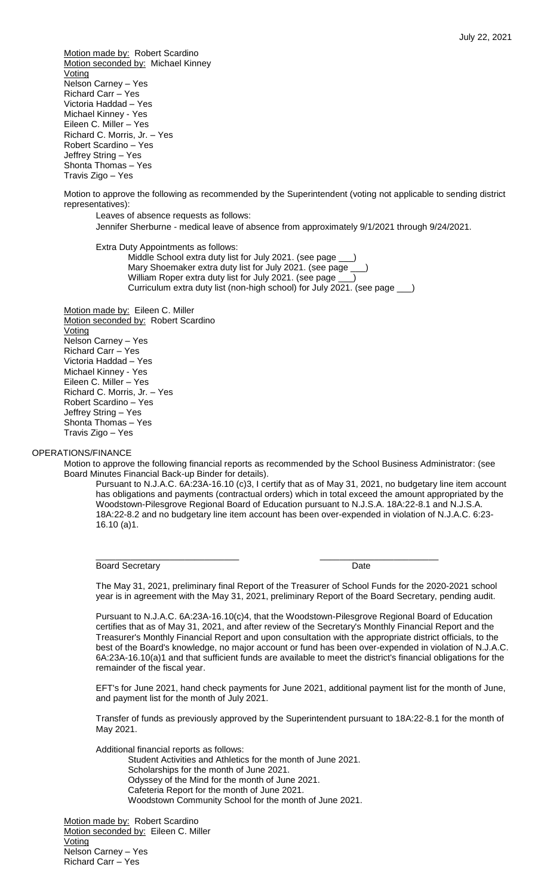Motion made by: Robert Scardino Motion seconded by: Michael Kinney **Voting** Nelson Carney – Yes Richard Carr – Yes Victoria Haddad – Yes Michael Kinney - Yes Eileen C. Miller – Yes Richard C. Morris, Jr. – Yes Robert Scardino – Yes Jeffrey String – Yes Shonta Thomas – Yes Travis Zigo – Yes

Motion to approve the following as recommended by the Superintendent (voting not applicable to sending district representatives):

Leaves of absence requests as follows:

Jennifer Sherburne - medical leave of absence from approximately 9/1/2021 through 9/24/2021.

Extra Duty Appointments as follows:

Middle School extra duty list for July 2021. (see page \_\_\_) Mary Shoemaker extra duty list for July 2021. (see page William Roper extra duty list for July 2021. (see page Curriculum extra duty list (non-high school) for July 2021. (see page \_\_\_)

Motion made by: Eileen C. Miller Motion seconded by: Robert Scardino Voting Nelson Carney – Yes Richard Carr – Yes Victoria Haddad – Yes Michael Kinney - Yes Eileen C. Miller – Yes Richard C. Morris, Jr. – Yes Robert Scardino – Yes Jeffrey String – Yes Shonta Thomas – Yes Travis Zigo – Yes

# OPERATIONS/FINANCE

Motion to approve the following financial reports as recommended by the School Business Administrator: (see Board Minutes Financial Back-up Binder for details).

Pursuant to N.J.A.C. 6A:23A-16.10 (c)3, I certify that as of May 31, 2021, no budgetary line item account has obligations and payments (contractual orders) which in total exceed the amount appropriated by the Woodstown-Pilesgrove Regional Board of Education pursuant to N.J.S.A. 18A:22-8.1 and N.J.S.A. 18A:22-8.2 and no budgetary line item account has been over-expended in violation of N.J.A.C. 6:23- 16.10 (a)1.

Board Secretary **Date** 

\_\_\_\_\_\_\_\_\_\_\_\_\_\_\_\_\_\_\_\_\_\_\_\_\_\_\_\_\_ \_\_\_\_\_\_\_\_\_\_\_\_\_\_\_\_\_\_\_\_\_\_\_\_

The May 31, 2021, preliminary final Report of the Treasurer of School Funds for the 2020-2021 school year is in agreement with the May 31, 2021, preliminary Report of the Board Secretary, pending audit.

Pursuant to N.J.A.C. 6A:23A-16.10(c)4, that the Woodstown-Pilesgrove Regional Board of Education certifies that as of May 31, 2021, and after review of the Secretary's Monthly Financial Report and the Treasurer's Monthly Financial Report and upon consultation with the appropriate district officials, to the best of the Board's knowledge, no major account or fund has been over-expended in violation of N.J.A.C. 6A:23A-16.10(a)1 and that sufficient funds are available to meet the district's financial obligations for the remainder of the fiscal year.

EFT's for June 2021, hand check payments for June 2021, additional payment list for the month of June, and payment list for the month of July 2021.

Transfer of funds as previously approved by the Superintendent pursuant to 18A:22-8.1 for the month of May 2021.

Additional financial reports as follows: Student Activities and Athletics for the month of June 2021. Scholarships for the month of June 2021. Odyssey of the Mind for the month of June 2021. Cafeteria Report for the month of June 2021. Woodstown Community School for the month of June 2021.

Motion made by: Robert Scardino Motion seconded by: Eileen C. Miller **Voting** Nelson Carney – Yes Richard Carr – Yes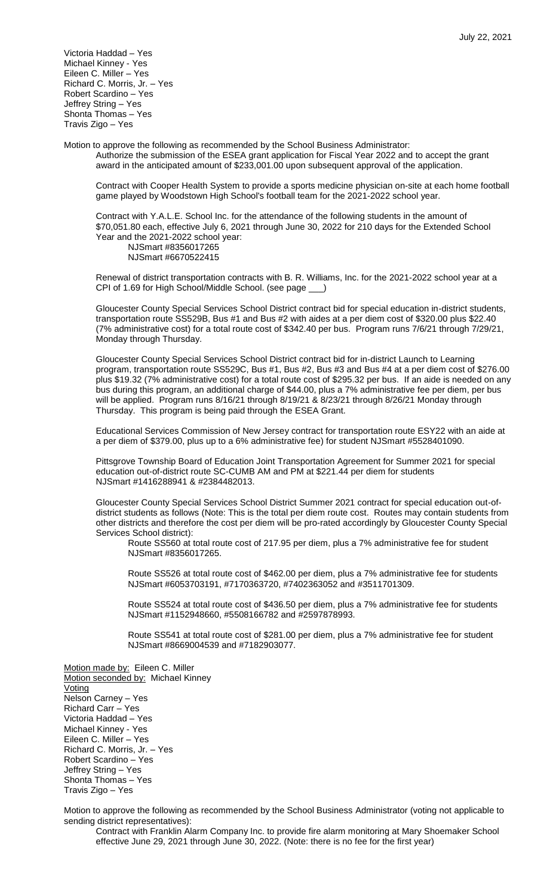Victoria Haddad – Yes Michael Kinney - Yes Eileen C. Miller – Yes Richard C. Morris, Jr. – Yes Robert Scardino – Yes Jeffrey String – Yes Shonta Thomas – Yes Travis Zigo – Yes

Motion to approve the following as recommended by the School Business Administrator: Authorize the submission of the ESEA grant application for Fiscal Year 2022 and to accept the grant award in the anticipated amount of \$233,001.00 upon subsequent approval of the application.

Contract with Cooper Health System to provide a sports medicine physician on-site at each home football game played by Woodstown High School's football team for the 2021-2022 school year.

Contract with Y.A.L.E. School Inc. for the attendance of the following students in the amount of \$70,051.80 each, effective July 6, 2021 through June 30, 2022 for 210 days for the Extended School Year and the 2021-2022 school year:

NJSmart #8356017265 NJSmart #6670522415

Renewal of district transportation contracts with B. R. Williams, Inc. for the 2021-2022 school year at a CPI of 1.69 for High School/Middle School. (see page \_\_\_)

Gloucester County Special Services School District contract bid for special education in-district students, transportation route SS529B, Bus #1 and Bus #2 with aides at a per diem cost of \$320.00 plus \$22.40 (7% administrative cost) for a total route cost of \$342.40 per bus. Program runs 7/6/21 through 7/29/21, Monday through Thursday.

Gloucester County Special Services School District contract bid for in-district Launch to Learning program, transportation route SS529C, Bus #1, Bus #2, Bus #3 and Bus #4 at a per diem cost of \$276.00 plus \$19.32 (7% administrative cost) for a total route cost of \$295.32 per bus. If an aide is needed on any bus during this program, an additional charge of \$44.00, plus a 7% administrative fee per diem, per bus will be applied. Program runs 8/16/21 through 8/19/21 & 8/23/21 through 8/26/21 Monday through Thursday. This program is being paid through the ESEA Grant.

Educational Services Commission of New Jersey contract for transportation route ESY22 with an aide at a per diem of \$379.00, plus up to a 6% administrative fee) for student NJSmart #5528401090.

Pittsgrove Township Board of Education Joint Transportation Agreement for Summer 2021 for special education out-of-district route SC-CUMB AM and PM at \$221.44 per diem for students NJSmart #1416288941 & #2384482013.

Gloucester County Special Services School District Summer 2021 contract for special education out-ofdistrict students as follows (Note: This is the total per diem route cost. Routes may contain students from other districts and therefore the cost per diem will be pro-rated accordingly by Gloucester County Special Services School district):

Route SS560 at total route cost of 217.95 per diem, plus a 7% administrative fee for student NJSmart #8356017265.

Route SS526 at total route cost of \$462.00 per diem, plus a 7% administrative fee for students NJSmart #6053703191, #7170363720, #7402363052 and #3511701309.

Route SS524 at total route cost of \$436.50 per diem, plus a 7% administrative fee for students NJSmart #1152948660, #5508166782 and #2597878993.

Route SS541 at total route cost of \$281.00 per diem, plus a 7% administrative fee for student NJSmart #8669004539 and #7182903077.

Motion made by: Eileen C. Miller Motion seconded by: Michael Kinney **Voting** Nelson Carney – Yes Richard Carr – Yes Victoria Haddad – Yes Michael Kinney - Yes Eileen C. Miller – Yes Richard C. Morris, Jr. – Yes Robert Scardino – Yes Jeffrey String – Yes Shonta Thomas – Yes Travis Zigo – Yes

Motion to approve the following as recommended by the School Business Administrator (voting not applicable to sending district representatives):

Contract with Franklin Alarm Company Inc. to provide fire alarm monitoring at Mary Shoemaker School effective June 29, 2021 through June 30, 2022. (Note: there is no fee for the first year)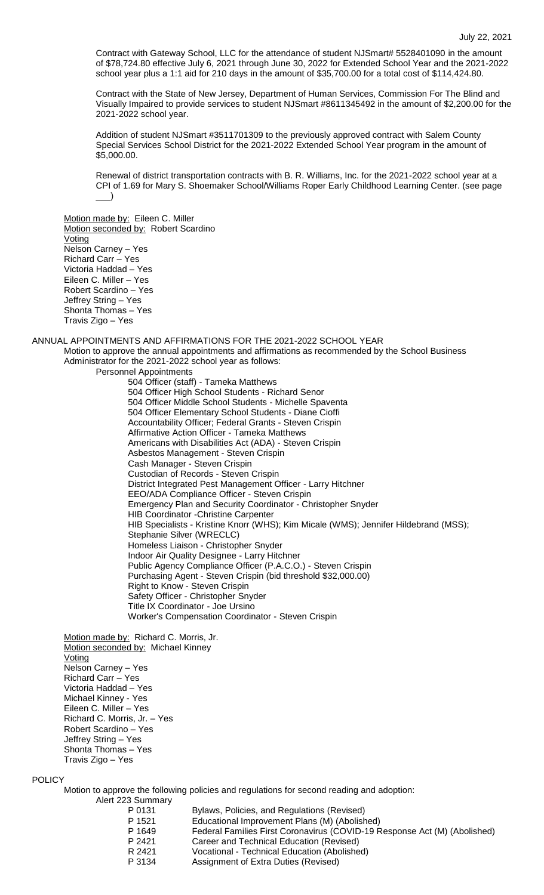Contract with Gateway School, LLC for the attendance of student NJSmart# 5528401090 in the amount of \$78,724.80 effective July 6, 2021 through June 30, 2022 for Extended School Year and the 2021-2022 school year plus a 1:1 aid for 210 days in the amount of \$35,700.00 for a total cost of \$114,424.80.

Contract with the State of New Jersey, Department of Human Services, Commission For The Blind and Visually Impaired to provide services to student NJSmart #8611345492 in the amount of \$2,200.00 for the 2021-2022 school year.

Addition of student NJSmart #3511701309 to the previously approved contract with Salem County Special Services School District for the 2021-2022 Extended School Year program in the amount of \$5,000.00.

Renewal of district transportation contracts with B. R. Williams, Inc. for the 2021-2022 school year at a CPI of 1.69 for Mary S. Shoemaker School/Williams Roper Early Childhood Learning Center. (see page  $\Box$ )

Motion made by: Eileen C. Miller Motion seconded by: Robert Scardino Voting Nelson Carney – Yes Richard Carr – Yes Victoria Haddad – Yes Eileen C. Miller – Yes Robert Scardino – Yes Jeffrey String – Yes Shonta Thomas – Yes Travis Zigo – Yes

ANNUAL APPOINTMENTS AND AFFIRMATIONS FOR THE 2021-2022 SCHOOL YEAR Motion to approve the annual appointments and affirmations as recommended by the School Business Administrator for the 2021-2022 school year as follows:

> Personnel Appointments 504 Officer (staff) - Tameka Matthews 504 Officer High School Students - Richard Senor 504 Officer Middle School Students - Michelle Spaventa 504 Officer Elementary School Students - Diane Cioffi Accountability Officer; Federal Grants - Steven Crispin Affirmative Action Officer - Tameka Matthews Americans with Disabilities Act (ADA) - Steven Crispin Asbestos Management - Steven Crispin Cash Manager - Steven Crispin Custodian of Records - Steven Crispin District Integrated Pest Management Officer - Larry Hitchner EEO/ADA Compliance Officer - Steven Crispin Emergency Plan and Security Coordinator - Christopher Snyder HIB Coordinator -Christine Carpenter HIB Specialists - Kristine Knorr (WHS); Kim Micale (WMS); Jennifer Hildebrand (MSS); Stephanie Silver (WRECLC) Homeless Liaison - Christopher Snyder Indoor Air Quality Designee - Larry Hitchner Public Agency Compliance Officer (P.A.C.O.) - Steven Crispin Purchasing Agent - Steven Crispin (bid threshold \$32,000.00) Right to Know - Steven Crispin Safety Officer - Christopher Snyder Title IX Coordinator - Joe Ursino Worker's Compensation Coordinator - Steven Crispin

Motion made by: Richard C. Morris, Jr. Motion seconded by: Michael Kinney Voting Nelson Carney – Yes Richard Carr – Yes Victoria Haddad – Yes Michael Kinney - Yes Eileen C. Miller – Yes Richard C. Morris, Jr. – Yes Robert Scardino – Yes Jeffrey String – Yes Shonta Thomas – Yes Travis Zigo – Yes

# POLICY

Motion to approve the following policies and regulations for second reading and adoption: Alert 223 Summary

- P 0131 Bylaws, Policies, and Regulations (Revised)<br>P 1521 Educational Improvement Plans (M) (Abolish P 1521 Educational Improvement Plans (M) (Abolished)<br>P 1649 Federal Families First Coronavirus (COVID-19 R P 1649 Federal Families First Coronavirus (COVID-19 Response Act (M) (Abolished)<br>P 2421 Career and Technical Education (Revised) Career and Technical Education (Revised) R 2421 Vocational - Technical Education (Abolished)
- P 3134 Assignment of Extra Duties (Revised)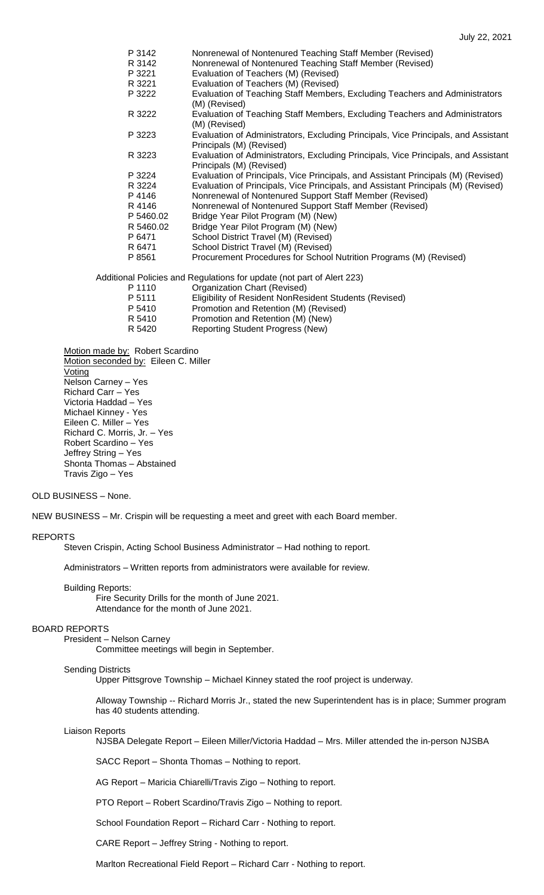| P 3142    | Nonrenewal of Nontenured Teaching Staff Member (Revised)                                                       |
|-----------|----------------------------------------------------------------------------------------------------------------|
| R 3142    | Nonrenewal of Nontenured Teaching Staff Member (Revised)                                                       |
| P 3221    | Evaluation of Teachers (M) (Revised)                                                                           |
| R 3221    | Evaluation of Teachers (M) (Revised)                                                                           |
| P 3222    | Evaluation of Teaching Staff Members, Excluding Teachers and Administrators<br>(M) (Revised)                   |
| R 3222    | Evaluation of Teaching Staff Members, Excluding Teachers and Administrators<br>(M) (Revised)                   |
| P 3223    | Evaluation of Administrators, Excluding Principals, Vice Principals, and Assistant<br>Principals (M) (Revised) |
| R 3223    | Evaluation of Administrators, Excluding Principals, Vice Principals, and Assistant<br>Principals (M) (Revised) |
| P 3224    | Evaluation of Principals, Vice Principals, and Assistant Principals (M) (Revised)                              |
| R 3224    | Evaluation of Principals, Vice Principals, and Assistant Principals (M) (Revised)                              |
| P 4146    | Nonrenewal of Nontenured Support Staff Member (Revised)                                                        |
| R 4146    | Nonrenewal of Nontenured Support Staff Member (Revised)                                                        |
| P 5460.02 | Bridge Year Pilot Program (M) (New)                                                                            |
| R 5460.02 | Bridge Year Pilot Program (M) (New)                                                                            |
| P 6471    | School District Travel (M) (Revised)                                                                           |
| R 6471    | School District Travel (M) (Revised)                                                                           |
| P 8561    | Procurement Procedures for School Nutrition Programs (M) (Revised)                                             |
|           | Additional Policies and Regulations for update (not part of Alert 223)                                         |
| P 1110    | Organization Chart (Revised)                                                                                   |
| P 5111    | Eligibility of Resident NonResident Students (Revised)                                                         |
| P 5410    | Promotion and Retention (M) (Revised)                                                                          |
| R 5410    | Promotion and Retention (M) (New)                                                                              |

R 5420 Reporting Student Progress (New)

Motion made by: Robert Scardino

Motion seconded by: Eileen C. Miller **Voting** Nelson Carney – Yes Richard Carr – Yes Victoria Haddad – Yes Michael Kinney - Yes Eileen C. Miller – Yes Richard C. Morris, Jr. – Yes Robert Scardino – Yes Jeffrey String – Yes Shonta Thomas – Abstained Travis Zigo – Yes

### OLD BUSINESS – None.

NEW BUSINESS – Mr. Crispin will be requesting a meet and greet with each Board member.

### REPORTS

Steven Crispin, Acting School Business Administrator – Had nothing to report.

Administrators – Written reports from administrators were available for review.

### Building Reports:

Fire Security Drills for the month of June 2021. Attendance for the month of June 2021.

### BOARD REPORTS

President – Nelson Carney

Committee meetings will begin in September.

### Sending Districts

Upper Pittsgrove Township – Michael Kinney stated the roof project is underway.

Alloway Township -- Richard Morris Jr., stated the new Superintendent has is in place; Summer program has 40 students attending.

#### Liaison Reports

NJSBA Delegate Report – Eileen Miller/Victoria Haddad – Mrs. Miller attended the in-person NJSBA

SACC Report – Shonta Thomas – Nothing to report.

AG Report – Maricia Chiarelli/Travis Zigo – Nothing to report.

PTO Report – Robert Scardino/Travis Zigo – Nothing to report.

School Foundation Report – Richard Carr - Nothing to report.

CARE Report – Jeffrey String - Nothing to report.

Marlton Recreational Field Report – Richard Carr - Nothing to report.